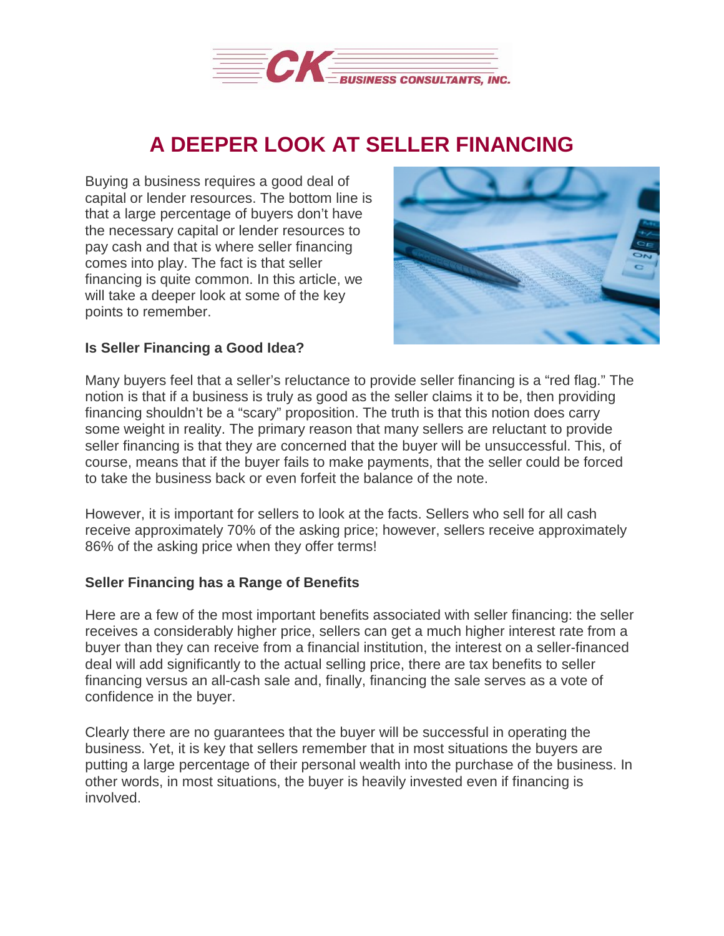

## **A DEEPER LOOK AT SELLER FINANCING**

Buying a business requires a good deal of capital or lender resources. The bottom line is that a large percentage of buyers don't have the necessary capital or lender resources to pay cash and that is where seller financing comes into play. The fact is that seller financing is quite common. In this article, we will take a deeper look at some of the key points to remember.



## **Is Seller Financing a Good Idea?**

Many buyers feel that a seller's reluctance to provide seller financing is a "red flag." The notion is that if a business is truly as good as the seller claims it to be, then providing financing shouldn't be a "scary" proposition. The truth is that this notion does carry some weight in reality. The primary reason that many sellers are reluctant to provide seller financing is that they are concerned that the buyer will be unsuccessful. This, of course, means that if the buyer fails to make payments, that the seller could be forced to take the business back or even forfeit the balance of the note.

However, it is important for sellers to look at the facts. Sellers who sell for all cash receive approximately 70% of the asking price; however, sellers receive approximately 86% of the asking price when they offer terms!

## **Seller Financing has a Range of Benefits**

Here are a few of the most important benefits associated with seller financing: the seller receives a considerably higher price, sellers can get a much higher interest rate from a buyer than they can receive from a financial institution, the interest on a seller-financed deal will add significantly to the actual selling price, there are tax benefits to seller financing versus an all-cash sale and, finally, financing the sale serves as a vote of confidence in the buyer.

Clearly there are no guarantees that the buyer will be successful in operating the business. Yet, it is key that sellers remember that in most situations the buyers are putting a large percentage of their personal wealth into the purchase of the business. In other words, in most situations, the buyer is heavily invested even if financing is involved.